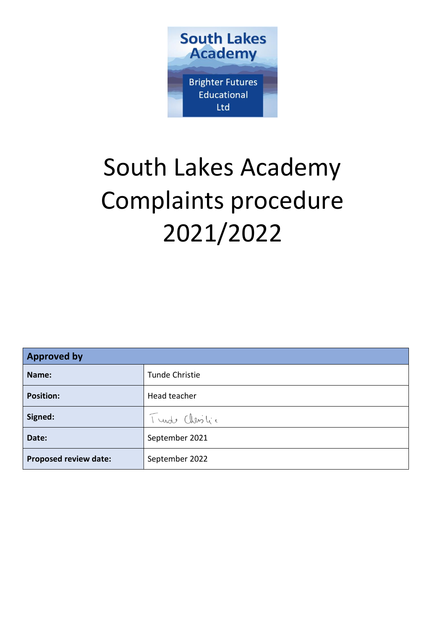

# South Lakes Academy Complaints procedure 2021/2022

| <b>Approved by</b>    |                |
|-----------------------|----------------|
| Name:                 | Tunde Christie |
| <b>Position:</b>      | Head teacher   |
| Signed:               | Tunde Christic |
| Date:                 | September 2021 |
| Proposed review date: | September 2022 |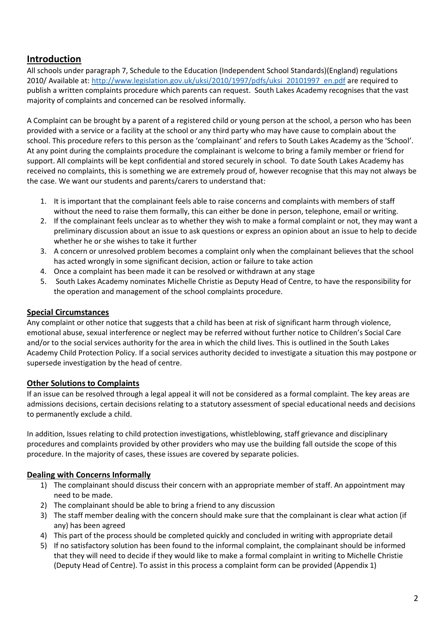# **Introduction**

All schools under paragraph 7, Schedule to the Education (Independent School Standards)(England) regulations 2010/ Available at: [http://www.legislation.gov.uk/uksi/2010/1997/pdfs/uksi\\_20101997\\_en.pdf](http://www.legislation.gov.uk/uksi/2010/1997/pdfs/uksi_20101997_en.pdf) are required to publish a written complaints procedure which parents can request. South Lakes Academy recognises that the vast majority of complaints and concerned can be resolved informally.

A Complaint can be brought by a parent of a registered child or young person at the school, a person who has been provided with a service or a facility at the school or any third party who may have cause to complain about the school. This procedure refers to this person as the 'complainant' and refers to South Lakes Academy as the 'School'. At any point during the complaints procedure the complainant is welcome to bring a family member or friend for support. All complaints will be kept confidential and stored securely in school. To date South Lakes Academy has received no complaints, this is something we are extremely proud of, however recognise that this may not always be the case. We want our students and parents/carers to understand that:

- 1. It is important that the complainant feels able to raise concerns and complaints with members of staff without the need to raise them formally, this can either be done in person, telephone, email or writing.
- 2. If the complainant feels unclear as to whether they wish to make a formal complaint or not, they may want a preliminary discussion about an issue to ask questions or express an opinion about an issue to help to decide whether he or she wishes to take it further
- 3. A concern or unresolved problem becomes a complaint only when the complainant believes that the school has acted wrongly in some significant decision, action or failure to take action
- 4. Once a complaint has been made it can be resolved or withdrawn at any stage
- 5. South Lakes Academy nominates Michelle Christie as Deputy Head of Centre, to have the responsibility for the operation and management of the school complaints procedure.

#### **Special Circumstances**

Any complaint or other notice that suggests that a child has been at risk of significant harm through violence, emotional abuse, sexual interference or neglect may be referred without further notice to Children's Social Care and/or to the social services authority for the area in which the child lives. This is outlined in the South Lakes Academy Child Protection Policy. If a social services authority decided to investigate a situation this may postpone or supersede investigation by the head of centre.

## **Other Solutions to Complaints**

If an issue can be resolved through a legal appeal it will not be considered as a formal complaint. The key areas are admissions decisions, certain decisions relating to a statutory assessment of special educational needs and decisions to permanently exclude a child.

In addition, Issues relating to child protection investigations, whistleblowing, staff grievance and disciplinary procedures and complaints provided by other providers who may use the building fall outside the scope of this procedure. In the majority of cases, these issues are covered by separate policies.

## **Dealing with Concerns Informally**

- 1) The complainant should discuss their concern with an appropriate member of staff. An appointment may need to be made.
- 2) The complainant should be able to bring a friend to any discussion
- 3) The staff member dealing with the concern should make sure that the complainant is clear what action (if any) has been agreed
- 4) This part of the process should be completed quickly and concluded in writing with appropriate detail
- 5) If no satisfactory solution has been found to the informal complaint, the complainant should be informed that they will need to decide if they would like to make a formal complaint in writing to Michelle Christie (Deputy Head of Centre). To assist in this process a complaint form can be provided (Appendix 1)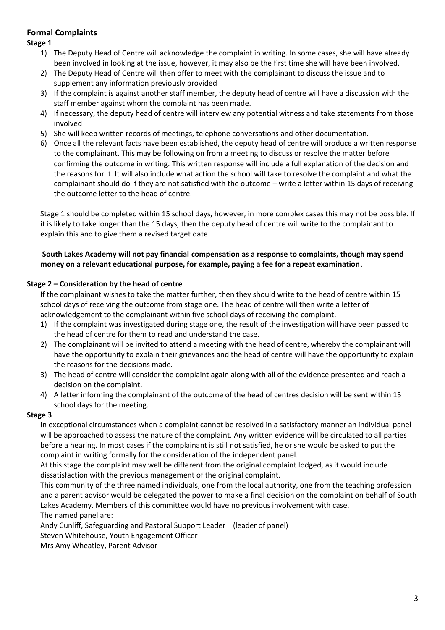## **Formal Complaints**

**Stage 1**

- 1) The Deputy Head of Centre will acknowledge the complaint in writing. In some cases, she will have already been involved in looking at the issue, however, it may also be the first time she will have been involved.
- 2) The Deputy Head of Centre will then offer to meet with the complainant to discuss the issue and to supplement any information previously provided
- 3) If the complaint is against another staff member, the deputy head of centre will have a discussion with the staff member against whom the complaint has been made.
- 4) If necessary, the deputy head of centre will interview any potential witness and take statements from those involved
- 5) She will keep written records of meetings, telephone conversations and other documentation.
- 6) Once all the relevant facts have been established, the deputy head of centre will produce a written response to the complainant. This may be following on from a meeting to discuss or resolve the matter before confirming the outcome in writing. This written response will include a full explanation of the decision and the reasons for it. It will also include what action the school will take to resolve the complaint and what the complainant should do if they are not satisfied with the outcome – write a letter within 15 days of receiving the outcome letter to the head of centre.

Stage 1 should be completed within 15 school days, however, in more complex cases this may not be possible. If it is likely to take longer than the 15 days, then the deputy head of centre will write to the complainant to explain this and to give them a revised target date.

#### **South Lakes Academy will not pay financial compensation as a response to complaints, though may spend money on a relevant educational purpose, for example, paying a fee for a repeat examination**.

#### **Stage 2 – Consideration by the head of centre**

If the complainant wishes to take the matter further, then they should write to the head of centre within 15 school days of receiving the outcome from stage one. The head of centre will then write a letter of acknowledgement to the complainant within five school days of receiving the complaint.

- 1) If the complaint was investigated during stage one, the result of the investigation will have been passed to the head of centre for them to read and understand the case.
- 2) The complainant will be invited to attend a meeting with the head of centre, whereby the complainant will have the opportunity to explain their grievances and the head of centre will have the opportunity to explain the reasons for the decisions made.
- 3) The head of centre will consider the complaint again along with all of the evidence presented and reach a decision on the complaint.
- 4) A letter informing the complainant of the outcome of the head of centres decision will be sent within 15 school days for the meeting.

#### **Stage 3**

In exceptional circumstances when a complaint cannot be resolved in a satisfactory manner an individual panel will be approached to assess the nature of the complaint. Any written evidence will be circulated to all parties before a hearing. In most cases if the complainant is still not satisfied, he or she would be asked to put the complaint in writing formally for the consideration of the independent panel.

At this stage the complaint may well be different from the original complaint lodged, as it would include dissatisfaction with the previous management of the original complaint.

This community of the three named individuals, one from the local authority, one from the teaching profession and a parent advisor would be delegated the power to make a final decision on the complaint on behalf of South Lakes Academy. Members of this committee would have no previous involvement with case. The named panel are:

Andy Cunliff, Safeguarding and Pastoral Support Leader (leader of panel)

Steven Whitehouse, Youth Engagement Officer

Mrs Amy Wheatley, Parent Advisor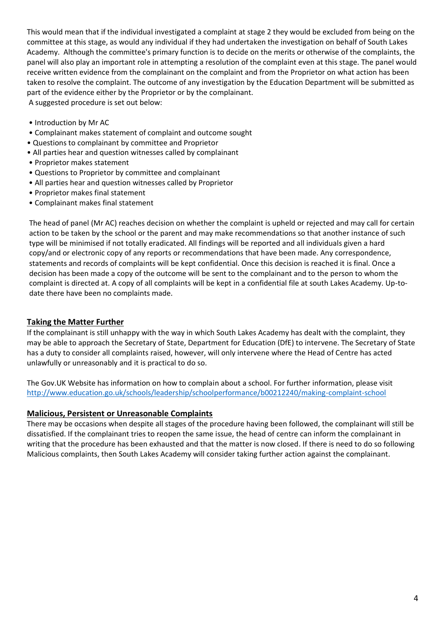This would mean that if the individual investigated a complaint at stage 2 they would be excluded from being on the committee at this stage, as would any individual if they had undertaken the investigation on behalf of South Lakes Academy. Although the committee's primary function is to decide on the merits or otherwise of the complaints, the panel will also play an important role in attempting a resolution of the complaint even at this stage. The panel would receive written evidence from the complainant on the complaint and from the Proprietor on what action has been taken to resolve the complaint. The outcome of any investigation by the Education Department will be submitted as part of the evidence either by the Proprietor or by the complainant. A suggested procedure is set out below:

- Introduction by Mr AC
- Complainant makes statement of complaint and outcome sought
- Questions to complainant by committee and Proprietor
- All parties hear and question witnesses called by complainant
- Proprietor makes statement
- Questions to Proprietor by committee and complainant
- All parties hear and question witnesses called by Proprietor
- Proprietor makes final statement
- Complainant makes final statement

The head of panel (Mr AC) reaches decision on whether the complaint is upheld or rejected and may call for certain action to be taken by the school or the parent and may make recommendations so that another instance of such type will be minimised if not totally eradicated. All findings will be reported and all individuals given a hard copy/and or electronic copy of any reports or recommendations that have been made. Any correspondence, statements and records of complaints will be kept confidential. Once this decision is reached it is final. Once a decision has been made a copy of the outcome will be sent to the complainant and to the person to whom the complaint is directed at. A copy of all complaints will be kept in a confidential file at south Lakes Academy. Up-todate there have been no complaints made.

#### **Taking the Matter Further**

If the complainant is still unhappy with the way in which South Lakes Academy has dealt with the complaint, they may be able to approach the Secretary of State, Department for Education (DfE) to intervene. The Secretary of State has a duty to consider all complaints raised, however, will only intervene where the Head of Centre has acted unlawfully or unreasonably and it is practical to do so.

The Gov.UK Website has information on how to complain about a school. For further information, please visit <http://www.education.go.uk/schools/leadership/schoolperformance/b00212240/making-complaint-school>

#### **Malicious, Persistent or Unreasonable Complaints**

There may be occasions when despite all stages of the procedure having been followed, the complainant will still be dissatisfied. If the complainant tries to reopen the same issue, the head of centre can inform the complainant in writing that the procedure has been exhausted and that the matter is now closed. If there is need to do so following Malicious complaints, then South Lakes Academy will consider taking further action against the complainant.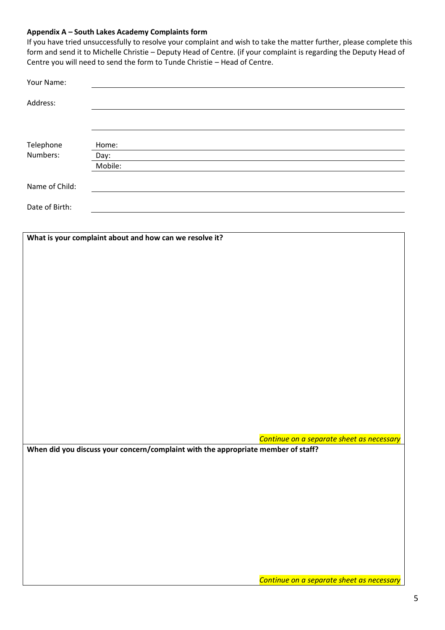#### **Appendix A – South Lakes Academy Complaints form**

If you have tried unsuccessfully to resolve your complaint and wish to take the matter further, please complete this form and send it to Michelle Christie – Deputy Head of Centre. (if your complaint is regarding the Deputy Head of Centre you will need to send the form to Tunde Christie – Head of Centre.

| Address:                                                                          |  |
|-----------------------------------------------------------------------------------|--|
|                                                                                   |  |
|                                                                                   |  |
|                                                                                   |  |
| Telephone<br>Home:                                                                |  |
| Numbers:<br>Day:<br>Mobile:                                                       |  |
|                                                                                   |  |
| Name of Child:                                                                    |  |
| Date of Birth:                                                                    |  |
|                                                                                   |  |
| What is your complaint about and how can we resolve it?                           |  |
|                                                                                   |  |
|                                                                                   |  |
|                                                                                   |  |
|                                                                                   |  |
|                                                                                   |  |
|                                                                                   |  |
|                                                                                   |  |
|                                                                                   |  |
|                                                                                   |  |
|                                                                                   |  |
|                                                                                   |  |
|                                                                                   |  |
|                                                                                   |  |
| Continue on a separate sheet as necessary                                         |  |
| When did you discuss your concern/complaint with the appropriate member of staff? |  |
|                                                                                   |  |
|                                                                                   |  |
|                                                                                   |  |
|                                                                                   |  |
|                                                                                   |  |
|                                                                                   |  |
|                                                                                   |  |
|                                                                                   |  |